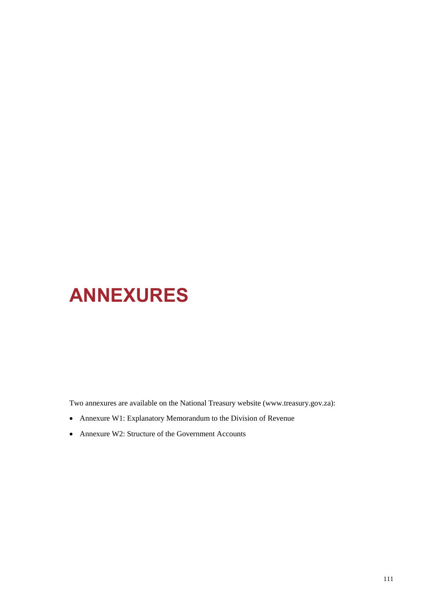# **ANNEXURES**

Two annexures are available on the National Treasury website (www.treasury.gov.za):

- Annexure W1: Explanatory Memorandum to the Division of Revenue
- Annexure W2: Structure of the Government Accounts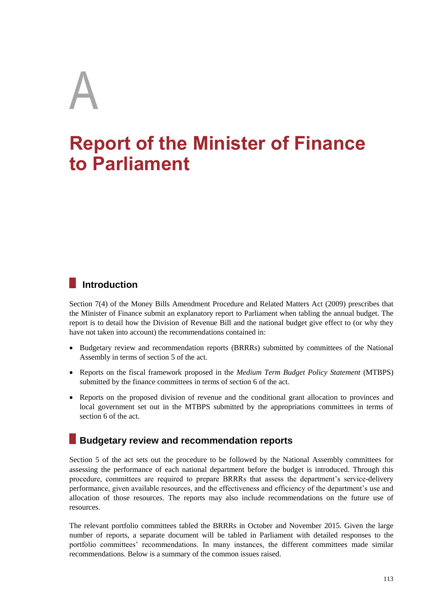# A

# **Report of the Minister of Finance to Parliament**

# **Introduction**

Section 7(4) of the Money Bills Amendment Procedure and Related Matters Act (2009) prescribes that the Minister of Finance submit an explanatory report to Parliament when tabling the annual budget. The report is to detail how the Division of Revenue Bill and the national budget give effect to (or why they have not taken into account) the recommendations contained in:

- Budgetary review and recommendation reports (BRRRs) submitted by committees of the National Assembly in terms of section 5 of the act.
- Reports on the fiscal framework proposed in the *Medium Term Budget Policy Statement* (MTBPS) submitted by the finance committees in terms of section 6 of the act.
- Reports on the proposed division of revenue and the conditional grant allocation to provinces and local government set out in the MTBPS submitted by the appropriations committees in terms of section 6 of the act.

# **Budgetary review and recommendation reports**

Section 5 of the act sets out the procedure to be followed by the National Assembly committees for assessing the performance of each national department before the budget is introduced. Through this procedure, committees are required to prepare BRRRs that assess the department's service-delivery performance, given available resources, and the effectiveness and efficiency of the department's use and allocation of those resources. The reports may also include recommendations on the future use of resources.

The relevant portfolio committees tabled the BRRRs in October and November 2015. Given the large number of reports, a separate document will be tabled in Parliament with detailed responses to the portfolio committees' recommendations. In many instances, the different committees made similar recommendations. Below is a summary of the common issues raised.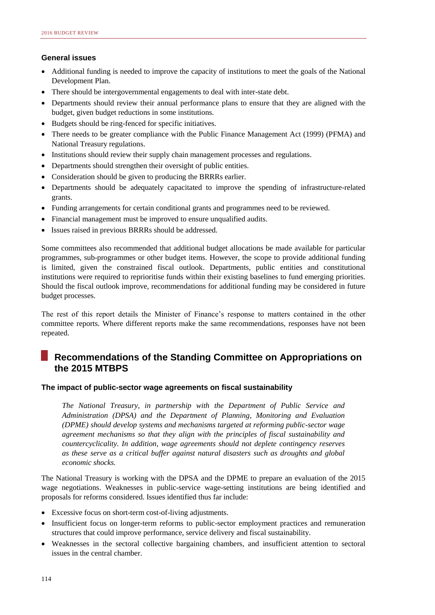#### **General issues**

- Additional funding is needed to improve the capacity of institutions to meet the goals of the National Development Plan.
- There should be intergovernmental engagements to deal with inter-state debt.
- Departments should review their annual performance plans to ensure that they are aligned with the budget, given budget reductions in some institutions.
- Budgets should be ring-fenced for specific initiatives.
- There needs to be greater compliance with the Public Finance Management Act (1999) (PFMA) and National Treasury regulations.
- Institutions should review their supply chain management processes and regulations.
- Departments should strengthen their oversight of public entities.
- Consideration should be given to producing the BRRRs earlier.
- Departments should be adequately capacitated to improve the spending of infrastructure-related grants.
- Funding arrangements for certain conditional grants and programmes need to be reviewed.
- Financial management must be improved to ensure unqualified audits.
- Issues raised in previous BRRRs should be addressed.

Some committees also recommended that additional budget allocations be made available for particular programmes, sub-programmes or other budget items. However, the scope to provide additional funding is limited, given the constrained fiscal outlook. Departments, public entities and constitutional institutions were required to reprioritise funds within their existing baselines to fund emerging priorities. Should the fiscal outlook improve, recommendations for additional funding may be considered in future budget processes.

The rest of this report details the Minister of Finance's response to matters contained in the other committee reports. Where different reports make the same recommendations, responses have not been repeated.

# **Recommendations of the Standing Committee on Appropriations on the 2015 MTBPS**

#### **The impact of public-sector wage agreements on fiscal sustainability**

*The National Treasury, in partnership with the Department of Public Service and Administration (DPSA) and the Department of Planning, Monitoring and Evaluation (DPME) should develop systems and mechanisms targeted at reforming public-sector wage agreement mechanisms so that they align with the principles of fiscal sustainability and countercyclicality. In addition, wage agreements should not deplete contingency reserves as these serve as a critical buffer against natural disasters such as droughts and global economic shocks.*

The National Treasury is working with the DPSA and the DPME to prepare an evaluation of the 2015 wage negotiations. Weaknesses in public-service wage-setting institutions are being identified and proposals for reforms considered. Issues identified thus far include:

- Excessive focus on short-term cost-of-living adjustments.
- Insufficient focus on longer-term reforms to public-sector employment practices and remuneration structures that could improve performance, service delivery and fiscal sustainability.
- Weaknesses in the sectoral collective bargaining chambers, and insufficient attention to sectoral issues in the central chamber.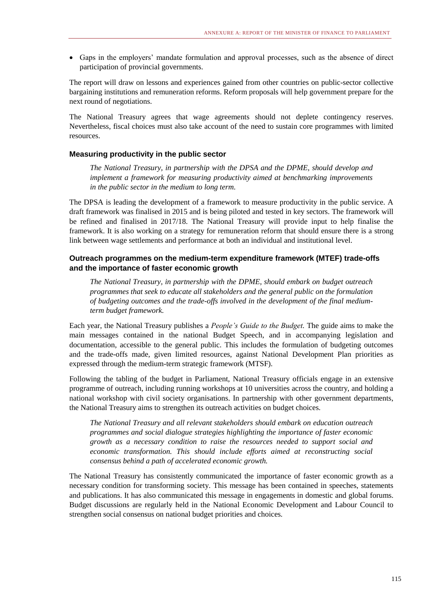Gaps in the employers' mandate formulation and approval processes, such as the absence of direct participation of provincial governments.

The report will draw on lessons and experiences gained from other countries on public-sector collective bargaining institutions and remuneration reforms. Reform proposals will help government prepare for the next round of negotiations.

The National Treasury agrees that wage agreements should not deplete contingency reserves. Nevertheless, fiscal choices must also take account of the need to sustain core programmes with limited resources.

#### **Measuring productivity in the public sector**

*The National Treasury, in partnership with the DPSA and the DPME, should develop and implement a framework for measuring productivity aimed at benchmarking improvements in the public sector in the medium to long term.*

The DPSA is leading the development of a framework to measure productivity in the public service. A draft framework was finalised in 2015 and is being piloted and tested in key sectors. The framework will be refined and finalised in 2017/18. The National Treasury will provide input to help finalise the framework. It is also working on a strategy for remuneration reform that should ensure there is a strong link between wage settlements and performance at both an individual and institutional level.

#### **Outreach programmes on the medium-term expenditure framework (MTEF) trade-offs and the importance of faster economic growth**

*The National Treasury, in partnership with the DPME, should embark on budget outreach programmes that seek to educate all stakeholders and the general public on the formulation of budgeting outcomes and the trade-offs involved in the development of the final mediumterm budget framework.*

Each year, the National Treasury publishes a *People's Guide to the Budget.* The guide aims to make the main messages contained in the national Budget Speech, and in accompanying legislation and documentation, accessible to the general public. This includes the formulation of budgeting outcomes and the trade-offs made, given limited resources, against National Development Plan priorities as expressed through the medium-term strategic framework (MTSF).

Following the tabling of the budget in Parliament, National Treasury officials engage in an extensive programme of outreach, including running workshops at 10 universities across the country, and holding a national workshop with civil society organisations. In partnership with other government departments, the National Treasury aims to strengthen its outreach activities on budget choices.

*The National Treasury and all relevant stakeholders should embark on education outreach programmes and social dialogue strategies highlighting the importance of faster economic growth as a necessary condition to raise the resources needed to support social and economic transformation. This should include efforts aimed at reconstructing social consensus behind a path of accelerated economic growth.*

The National Treasury has consistently communicated the importance of faster economic growth as a necessary condition for transforming society. This message has been contained in speeches, statements and publications. It has also communicated this message in engagements in domestic and global forums. Budget discussions are regularly held in the National Economic Development and Labour Council to strengthen social consensus on national budget priorities and choices.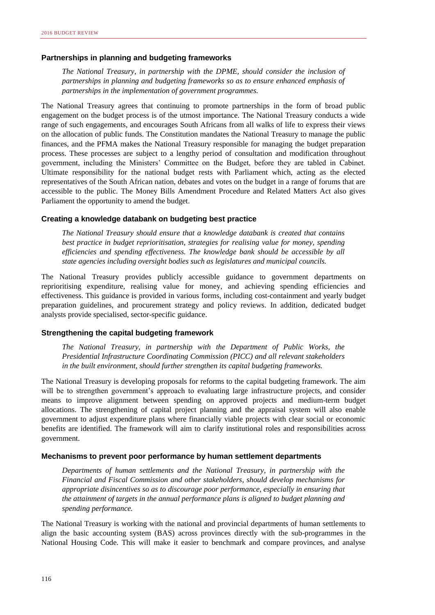#### **Partnerships in planning and budgeting frameworks**

*The National Treasury, in partnership with the DPME, should consider the inclusion of partnerships in planning and budgeting frameworks so as to ensure enhanced emphasis of partnerships in the implementation of government programmes.*

The National Treasury agrees that continuing to promote partnerships in the form of broad public engagement on the budget process is of the utmost importance. The National Treasury conducts a wide range of such engagements, and encourages South Africans from all walks of life to express their views on the allocation of public funds. The Constitution mandates the National Treasury to manage the public finances, and the PFMA makes the National Treasury responsible for managing the budget preparation process. These processes are subject to a lengthy period of consultation and modification throughout government, including the Ministers' Committee on the Budget, before they are tabled in Cabinet. Ultimate responsibility for the national budget rests with Parliament which, acting as the elected representatives of the South African nation, debates and votes on the budget in a range of forums that are accessible to the public. The Money Bills Amendment Procedure and Related Matters Act also gives Parliament the opportunity to amend the budget.

#### **Creating a knowledge databank on budgeting best practice**

*The National Treasury should ensure that a knowledge databank is created that contains best practice in budget reprioritisation, strategies for realising value for money, spending efficiencies and spending effectiveness. The knowledge bank should be accessible by all state agencies including oversight bodies such as legislatures and municipal councils.*

The National Treasury provides publicly accessible guidance to government departments on reprioritising expenditure, realising value for money, and achieving spending efficiencies and effectiveness. This guidance is provided in various forms, including cost-containment and yearly budget preparation guidelines, and procurement strategy and policy reviews. In addition, dedicated budget analysts provide specialised, sector-specific guidance.

#### **Strengthening the capital budgeting framework**

*The National Treasury, in partnership with the Department of Public Works, the Presidential Infrastructure Coordinating Commission (PICC) and all relevant stakeholders in the built environment, should further strengthen its capital budgeting frameworks.*

The National Treasury is developing proposals for reforms to the capital budgeting framework. The aim will be to strengthen government's approach to evaluating large infrastructure projects, and consider means to improve alignment between spending on approved projects and medium-term budget allocations. The strengthening of capital project planning and the appraisal system will also enable government to adjust expenditure plans where financially viable projects with clear social or economic benefits are identified. The framework will aim to clarify institutional roles and responsibilities across government.

#### **Mechanisms to prevent poor performance by human settlement departments**

*Departments of human settlements and the National Treasury, in partnership with the Financial and Fiscal Commission and other stakeholders, should develop mechanisms for appropriate disincentives so as to discourage poor performance, especially in ensuring that the attainment of targets in the annual performance plans is aligned to budget planning and spending performance.*

The National Treasury is working with the national and provincial departments of human settlements to align the basic accounting system (BAS) across provinces directly with the sub-programmes in the National Housing Code. This will make it easier to benchmark and compare provinces, and analyse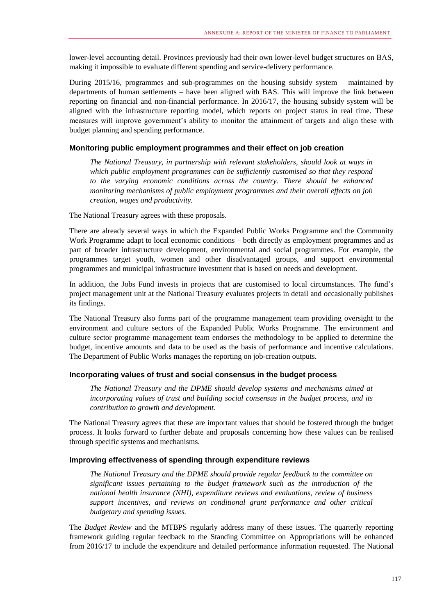lower-level accounting detail. Provinces previously had their own lower-level budget structures on BAS, making it impossible to evaluate different spending and service-delivery performance.

During 2015/16, programmes and sub-programmes on the housing subsidy system – maintained by departments of human settlements – have been aligned with BAS. This will improve the link between reporting on financial and non-financial performance. In 2016/17, the housing subsidy system will be aligned with the infrastructure reporting model, which reports on project status in real time. These measures will improve government's ability to monitor the attainment of targets and align these with budget planning and spending performance.

#### **Monitoring public employment programmes and their effect on job creation**

*The National Treasury, in partnership with relevant stakeholders, should look at ways in which public employment programmes can be sufficiently customised so that they respond to the varying economic conditions across the country. There should be enhanced monitoring mechanisms of public employment programmes and their overall effects on job creation, wages and productivity.*

The National Treasury agrees with these proposals.

There are already several ways in which the Expanded Public Works Programme and the Community Work Programme adapt to local economic conditions – both directly as employment programmes and as part of broader infrastructure development, environmental and social programmes. For example, the programmes target youth, women and other disadvantaged groups, and support environmental programmes and municipal infrastructure investment that is based on needs and development.

In addition, the Jobs Fund invests in projects that are customised to local circumstances. The fund's project management unit at the National Treasury evaluates projects in detail and occasionally publishes its findings.

The National Treasury also forms part of the programme management team providing oversight to the environment and culture sectors of the Expanded Public Works Programme. The environment and culture sector programme management team endorses the methodology to be applied to determine the budget, incentive amounts and data to be used as the basis of performance and incentive calculations. The Department of Public Works manages the reporting on job-creation outputs.

#### **Incorporating values of trust and social consensus in the budget process**

*The National Treasury and the DPME should develop systems and mechanisms aimed at incorporating values of trust and building social consensus in the budget process, and its contribution to growth and development.*

The National Treasury agrees that these are important values that should be fostered through the budget process. It looks forward to further debate and proposals concerning how these values can be realised through specific systems and mechanisms.

#### **Improving effectiveness of spending through expenditure reviews**

*The National Treasury and the DPME should provide regular feedback to the committee on significant issues pertaining to the budget framework such as the introduction of the national health insurance (NHI), expenditure reviews and evaluations, review of business support incentives, and reviews on conditional grant performance and other critical budgetary and spending issues.*

The *Budget Review* and the MTBPS regularly address many of these issues. The quarterly reporting framework guiding regular feedback to the Standing Committee on Appropriations will be enhanced from 2016/17 to include the expenditure and detailed performance information requested. The National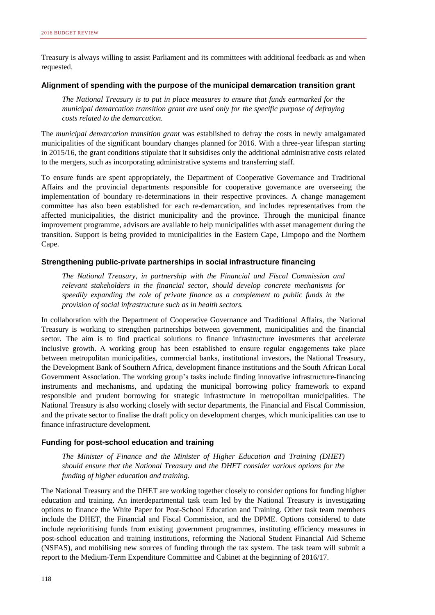Treasury is always willing to assist Parliament and its committees with additional feedback as and when requested.

#### **Alignment of spending with the purpose of the municipal demarcation transition grant**

*The National Treasury is to put in place measures to ensure that funds earmarked for the municipal demarcation transition grant are used only for the specific purpose of defraying costs related to the demarcation.*

The *municipal demarcation transition grant* was established to defray the costs in newly amalgamated municipalities of the significant boundary changes planned for 2016. With a three-year lifespan starting in 2015/16, the grant conditions stipulate that it subsidises only the additional administrative costs related to the mergers, such as incorporating administrative systems and transferring staff.

To ensure funds are spent appropriately, the Department of Cooperative Governance and Traditional Affairs and the provincial departments responsible for cooperative governance are overseeing the implementation of boundary re-determinations in their respective provinces. A change management committee has also been established for each re-demarcation, and includes representatives from the affected municipalities, the district municipality and the province. Through the municipal finance improvement programme, advisors are available to help municipalities with asset management during the transition. Support is being provided to municipalities in the Eastern Cape, Limpopo and the Northern Cape.

#### **Strengthening public-private partnerships in social infrastructure financing**

*The National Treasury, in partnership with the Financial and Fiscal Commission and relevant stakeholders in the financial sector, should develop concrete mechanisms for speedily expanding the role of private finance as a complement to public funds in the provision of social infrastructure such as in health sectors.*

In collaboration with the Department of Cooperative Governance and Traditional Affairs, the National Treasury is working to strengthen partnerships between government, municipalities and the financial sector. The aim is to find practical solutions to finance infrastructure investments that accelerate inclusive growth. A working group has been established to ensure regular engagements take place between metropolitan municipalities, commercial banks, institutional investors, the National Treasury, the Development Bank of Southern Africa, development finance institutions and the South African Local Government Association. The working group's tasks include finding innovative infrastructure-financing instruments and mechanisms, and updating the municipal borrowing policy framework to expand responsible and prudent borrowing for strategic infrastructure in metropolitan municipalities. The National Treasury is also working closely with sector departments, the Financial and Fiscal Commission, and the private sector to finalise the draft policy on development charges, which municipalities can use to finance infrastructure development.

#### **Funding for post-school education and training**

*The Minister of Finance and the Minister of Higher Education and Training (DHET) should ensure that the National Treasury and the DHET consider various options for the funding of higher education and training.* 

The National Treasury and the DHET are working together closely to consider options for funding higher education and training. An interdepartmental task team led by the National Treasury is investigating options to finance the White Paper for Post-School Education and Training. Other task team members include the DHET, the Financial and Fiscal Commission, and the DPME. Options considered to date include reprioritising funds from existing government programmes, instituting efficiency measures in post-school education and training institutions, reforming the National Student Financial Aid Scheme (NSFAS), and mobilising new sources of funding through the tax system. The task team will submit a report to the Medium-Term Expenditure Committee and Cabinet at the beginning of 2016/17.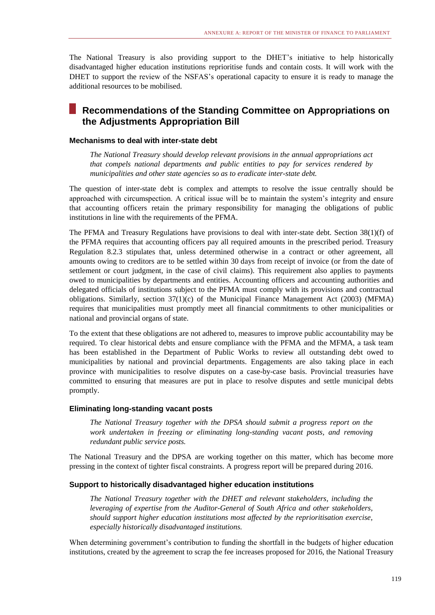The National Treasury is also providing support to the DHET's initiative to help historically disadvantaged higher education institutions reprioritise funds and contain costs. It will work with the DHET to support the review of the NSFAS's operational capacity to ensure it is ready to manage the additional resources to be mobilised.

# **Recommendations of the Standing Committee on Appropriations on the Adjustments Appropriation Bill**

#### **Mechanisms to deal with inter-state debt**

*The National Treasury should develop relevant provisions in the annual appropriations act that compels national departments and public entities to pay for services rendered by municipalities and other state agencies so as to eradicate inter-state debt.*

The question of inter-state debt is complex and attempts to resolve the issue centrally should be approached with circumspection. A critical issue will be to maintain the system's integrity and ensure that accounting officers retain the primary responsibility for managing the obligations of public institutions in line with the requirements of the PFMA.

The PFMA and Treasury Regulations have provisions to deal with inter-state debt. Section 38(1)(f) of the PFMA requires that accounting officers pay all required amounts in the prescribed period. Treasury Regulation 8.2.3 stipulates that, unless determined otherwise in a contract or other agreement, all amounts owing to creditors are to be settled within 30 days from receipt of invoice (or from the date of settlement or court judgment, in the case of civil claims). This requirement also applies to payments owed to municipalities by departments and entities. Accounting officers and accounting authorities and delegated officials of institutions subject to the PFMA must comply with its provisions and contractual obligations. Similarly, section 37(1)(c) of the Municipal Finance Management Act (2003) (MFMA) requires that municipalities must promptly meet all financial commitments to other municipalities or national and provincial organs of state.

To the extent that these obligations are not adhered to, measures to improve public accountability may be required. To clear historical debts and ensure compliance with the PFMA and the MFMA, a task team has been established in the Department of Public Works to review all outstanding debt owed to municipalities by national and provincial departments. Engagements are also taking place in each province with municipalities to resolve disputes on a case-by-case basis. Provincial treasuries have committed to ensuring that measures are put in place to resolve disputes and settle municipal debts promptly.

#### **Eliminating long-standing vacant posts**

*The National Treasury together with the DPSA should submit a progress report on the work undertaken in freezing or eliminating long-standing vacant posts, and removing redundant public service posts.*

The National Treasury and the DPSA are working together on this matter, which has become more pressing in the context of tighter fiscal constraints. A progress report will be prepared during 2016.

#### **Support to historically disadvantaged higher education institutions**

*The National Treasury together with the DHET and relevant stakeholders, including the leveraging of expertise from the Auditor-General of South Africa and other stakeholders, should support higher education institutions most affected by the reprioritisation exercise, especially historically disadvantaged institutions.*

When determining government's contribution to funding the shortfall in the budgets of higher education institutions, created by the agreement to scrap the fee increases proposed for 2016, the National Treasury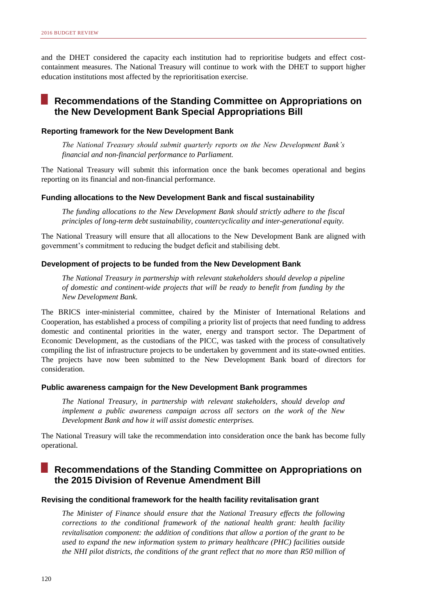and the DHET considered the capacity each institution had to reprioritise budgets and effect costcontainment measures. The National Treasury will continue to work with the DHET to support higher education institutions most affected by the reprioritisation exercise.

# **Recommendations of the Standing Committee on Appropriations on the New Development Bank Special Appropriations Bill**

#### **Reporting framework for the New Development Bank**

*The National Treasury should submit quarterly reports on the New Development Bank's financial and non-financial performance to Parliament.* 

The National Treasury will submit this information once the bank becomes operational and begins reporting on its financial and non-financial performance.

#### **Funding allocations to the New Development Bank and fiscal sustainability**

*The funding allocations to the New Development Bank should strictly adhere to the fiscal principles of long-term debt sustainability, countercyclicality and inter-generational equity.*

The National Treasury will ensure that all allocations to the New Development Bank are aligned with government's commitment to reducing the budget deficit and stabilising debt.

#### **Development of projects to be funded from the New Development Bank**

*The National Treasury in partnership with relevant stakeholders should develop a pipeline of domestic and continent-wide projects that will be ready to benefit from funding by the New Development Bank.*

The BRICS inter-ministerial committee, chaired by the Minister of International Relations and Cooperation, has established a process of compiling a priority list of projects that need funding to address domestic and continental priorities in the water, energy and transport sector. The Department of Economic Development, as the custodians of the PICC, was tasked with the process of consultatively compiling the list of infrastructure projects to be undertaken by government and its state-owned entities. The projects have now been submitted to the New Development Bank board of directors for consideration.

#### **Public awareness campaign for the New Development Bank programmes**

*The National Treasury, in partnership with relevant stakeholders, should develop and implement a public awareness campaign across all sectors on the work of the New Development Bank and how it will assist domestic enterprises.*

The National Treasury will take the recommendation into consideration once the bank has become fully operational.

# **Recommendations of the Standing Committee on Appropriations on the 2015 Division of Revenue Amendment Bill**

#### **Revising the conditional framework for the health facility revitalisation grant**

*The Minister of Finance should ensure that the National Treasury effects the following corrections to the conditional framework of the national health grant: health facility revitalisation component: the addition of conditions that allow a portion of the grant to be used to expand the new information system to primary healthcare (PHC) facilities outside the NHI pilot districts, the conditions of the grant reflect that no more than R50 million of*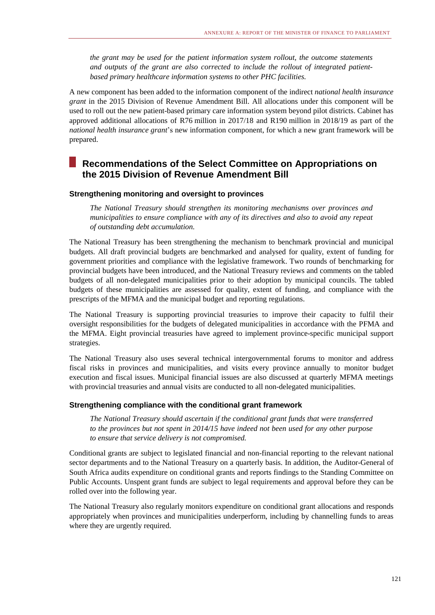*the grant may be used for the patient information system rollout, the outcome statements and outputs of the grant are also corrected to include the rollout of integrated patientbased primary healthcare information systems to other PHC facilities.*

A new component has been added to the information component of the indirect *national health insurance grant* in the 2015 Division of Revenue Amendment Bill. All allocations under this component will be used to roll out the new patient-based primary care information system beyond pilot districts. Cabinet has approved additional allocations of R76 million in 2017/18 and R190 million in 2018/19 as part of the *national health insurance grant*'s new information component, for which a new grant framework will be prepared.

## **Recommendations of the Select Committee on Appropriations on the 2015 Division of Revenue Amendment Bill**

#### **Strengthening monitoring and oversight to provinces**

*The National Treasury should strengthen its monitoring mechanisms over provinces and municipalities to ensure compliance with any of its directives and also to avoid any repeat of outstanding debt accumulation.*

The National Treasury has been strengthening the mechanism to benchmark provincial and municipal budgets. All draft provincial budgets are benchmarked and analysed for quality, extent of funding for government priorities and compliance with the legislative framework. Two rounds of benchmarking for provincial budgets have been introduced, and the National Treasury reviews and comments on the tabled budgets of all non-delegated municipalities prior to their adoption by municipal councils. The tabled budgets of these municipalities are assessed for quality, extent of funding, and compliance with the prescripts of the MFMA and the municipal budget and reporting regulations.

The National Treasury is supporting provincial treasuries to improve their capacity to fulfil their oversight responsibilities for the budgets of delegated municipalities in accordance with the PFMA and the MFMA. Eight provincial treasuries have agreed to implement province-specific municipal support strategies.

The National Treasury also uses several technical intergovernmental forums to monitor and address fiscal risks in provinces and municipalities, and visits every province annually to monitor budget execution and fiscal issues. Municipal financial issues are also discussed at quarterly MFMA meetings with provincial treasuries and annual visits are conducted to all non-delegated municipalities.

#### **Strengthening compliance with the conditional grant framework**

*The National Treasury should ascertain if the conditional grant funds that were transferred to the provinces but not spent in 2014/15 have indeed not been used for any other purpose to ensure that service delivery is not compromised.*

Conditional grants are subject to legislated financial and non-financial reporting to the relevant national sector departments and to the National Treasury on a quarterly basis. In addition, the Auditor-General of South Africa audits expenditure on conditional grants and reports findings to the Standing Committee on Public Accounts. Unspent grant funds are subject to legal requirements and approval before they can be rolled over into the following year.

The National Treasury also regularly monitors expenditure on conditional grant allocations and responds appropriately when provinces and municipalities underperform, including by channelling funds to areas where they are urgently required.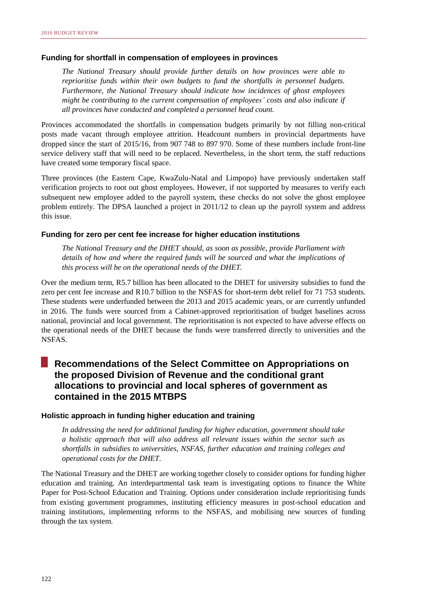#### **Funding for shortfall in compensation of employees in provinces**

*The National Treasury should provide further details on how provinces were able to reprioritise funds within their own budgets to fund the shortfalls in personnel budgets. Furthermore, the National Treasury should indicate how incidences of ghost employees might be contributing to the current compensation of employees' costs and also indicate if all provinces have conducted and completed a personnel head count.*

Provinces accommodated the shortfalls in compensation budgets primarily by not filling non-critical posts made vacant through employee attrition. Headcount numbers in provincial departments have dropped since the start of 2015/16, from 907 748 to 897 970. Some of these numbers include front-line service delivery staff that will need to be replaced. Nevertheless, in the short term, the staff reductions have created some temporary fiscal space.

Three provinces (the Eastern Cape, KwaZulu-Natal and Limpopo) have previously undertaken staff verification projects to root out ghost employees. However, if not supported by measures to verify each subsequent new employee added to the payroll system, these checks do not solve the ghost employee problem entirely. The DPSA launched a project in 2011/12 to clean up the payroll system and address this issue.

#### **Funding for zero per cent fee increase for higher education institutions**

*The National Treasury and the DHET should, as soon as possible, provide Parliament with details of how and where the required funds will be sourced and what the implications of this process will be on the operational needs of the DHET.*

Over the medium term, R5.7 billion has been allocated to the DHET for university subsidies to fund the zero per cent fee increase and R10.7 billion to the NSFAS for short-term debt relief for 71 753 students. These students were underfunded between the 2013 and 2015 academic years, or are currently unfunded in 2016. The funds were sourced from a Cabinet-approved reprioritisation of budget baselines across national, provincial and local government. The reprioritisation is not expected to have adverse effects on the operational needs of the DHET because the funds were transferred directly to universities and the NSFAS.

## **Recommendations of the Select Committee on Appropriations on the proposed Division of Revenue and the conditional grant allocations to provincial and local spheres of government as contained in the 2015 MTBPS**

#### **Holistic approach in funding higher education and training**

*In addressing the need for additional funding for higher education, government should take a holistic approach that will also address all relevant issues within the sector such as shortfalls in subsidies to universities, NSFAS, further education and training colleges and operational costs for the DHET.*

The National Treasury and the DHET are working together closely to consider options for funding higher education and training. An interdepartmental task team is investigating options to finance the White Paper for Post-School Education and Training. Options under consideration include reprioritising funds from existing government programmes, instituting efficiency measures in post-school education and training institutions, implementing reforms to the NSFAS, and mobilising new sources of funding through the tax system.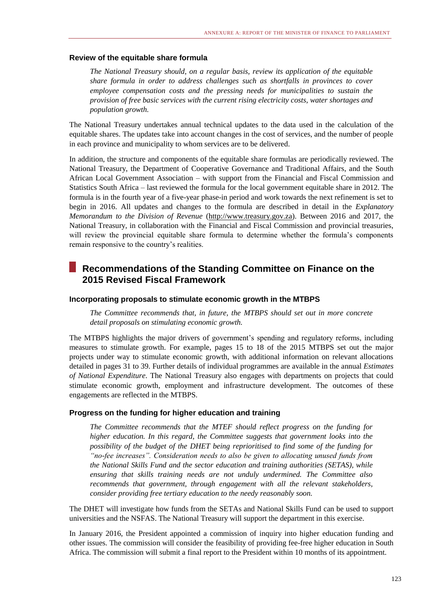#### **Review of the equitable share formula**

*The National Treasury should, on a regular basis, review its application of the equitable share formula in order to address challenges such as shortfalls in provinces to cover employee compensation costs and the pressing needs for municipalities to sustain the provision of free basic services with the current rising electricity costs, water shortages and population growth.*

The National Treasury undertakes annual technical updates to the data used in the calculation of the equitable shares. The updates take into account changes in the cost of services, and the number of people in each province and municipality to whom services are to be delivered.

In addition, the structure and components of the equitable share formulas are periodically reviewed. The National Treasury, the Department of Cooperative Governance and Traditional Affairs, and the South African Local Government Association – with support from the Financial and Fiscal Commission and Statistics South Africa – last reviewed the formula for the local government equitable share in 2012. The formula is in the fourth year of a five-year phase-in period and work towards the next refinement is set to begin in 2016. All updates and changes to the formula are described in detail in the *Explanatory Memorandum to the Division of Revenue* [\(http://www.treasury.gov.za\)](http://www.treasury.gov.za/). Between 2016 and 2017, the National Treasury, in collaboration with the Financial and Fiscal Commission and provincial treasuries, will review the provincial equitable share formula to determine whether the formula's components remain responsive to the country's realities.

### **Recommendations of the Standing Committee on Finance on the 2015 Revised Fiscal Framework**

#### **Incorporating proposals to stimulate economic growth in the MTBPS**

*The Committee recommends that, in future, the MTBPS should set out in more concrete detail proposals on stimulating economic growth.*

The MTBPS highlights the major drivers of government's spending and regulatory reforms, including measures to stimulate growth. For example, pages 15 to 18 of the 2015 MTBPS set out the major projects under way to stimulate economic growth, with additional information on relevant allocations detailed in pages 31 to 39. Further details of individual programmes are available in the annual *Estimates of National Expenditure*. The National Treasury also engages with departments on projects that could stimulate economic growth, employment and infrastructure development. The outcomes of these engagements are reflected in the MTBPS.

#### **Progress on the funding for higher education and training**

*The Committee recommends that the MTEF should reflect progress on the funding for higher education. In this regard, the Committee suggests that government looks into the possibility of the budget of the DHET being reprioritised to find some of the funding for "no-fee increases". Consideration needs to also be given to allocating unused funds from the National Skills Fund and the sector education and training authorities (SETAS), while ensuring that skills training needs are not unduly undermined. The Committee also recommends that government, through engagement with all the relevant stakeholders, consider providing free tertiary education to the needy reasonably soon.*

The DHET will investigate how funds from the SETAs and National Skills Fund can be used to support universities and the NSFAS. The National Treasury will support the department in this exercise.

In January 2016, the President appointed a commission of inquiry into higher education funding and other issues. The commission will consider the feasibility of providing fee-free higher education in South Africa. The commission will submit a final report to the President within 10 months of its appointment.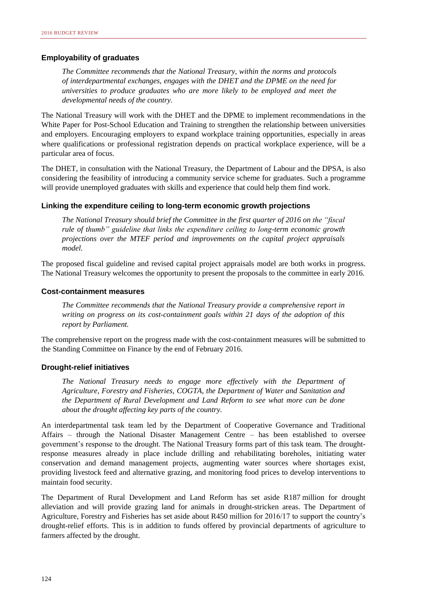#### **Employability of graduates**

*The Committee recommends that the National Treasury, within the norms and protocols of interdepartmental exchanges, engages with the DHET and the DPME on the need for universities to produce graduates who are more likely to be employed and meet the developmental needs of the country.*

The National Treasury will work with the DHET and the DPME to implement recommendations in the White Paper for Post-School Education and Training to strengthen the relationship between universities and employers. Encouraging employers to expand workplace training opportunities, especially in areas where qualifications or professional registration depends on practical workplace experience, will be a particular area of focus.

The DHET, in consultation with the National Treasury, the Department of Labour and the DPSA, is also considering the feasibility of introducing a community service scheme for graduates. Such a programme will provide unemployed graduates with skills and experience that could help them find work.

#### **Linking the expenditure ceiling to long-term economic growth projections**

*The National Treasury should brief the Committee in the first quarter of 2016 on the "fiscal rule of thumb" guideline that links the expenditure ceiling to long-term economic growth projections over the MTEF period and improvements on the capital project appraisals model.*

The proposed fiscal guideline and revised capital project appraisals model are both works in progress. The National Treasury welcomes the opportunity to present the proposals to the committee in early 2016.

#### **Cost-containment measures**

*The Committee recommends that the National Treasury provide a comprehensive report in writing on progress on its cost-containment goals within 21 days of the adoption of this report by Parliament.*

The comprehensive report on the progress made with the cost-containment measures will be submitted to the Standing Committee on Finance by the end of February 2016.

#### **Drought-relief initiatives**

*The National Treasury needs to engage more effectively with the Department of Agriculture, Forestry and Fisheries, COGTA, the Department of Water and Sanitation and the Department of Rural Development and Land Reform to see what more can be done about the drought affecting key parts of the country.*

An interdepartmental task team led by the Department of Cooperative Governance and Traditional Affairs – through the National Disaster Management Centre – has been established to oversee government's response to the drought. The National Treasury forms part of this task team. The droughtresponse measures already in place include drilling and rehabilitating boreholes, initiating water conservation and demand management projects, augmenting water sources where shortages exist, providing livestock feed and alternative grazing, and monitoring food prices to develop interventions to maintain food security.

The Department of Rural Development and Land Reform has set aside R187 million for drought alleviation and will provide grazing land for animals in drought-stricken areas. The Department of Agriculture, Forestry and Fisheries has set aside about R450 million for 2016/17 to support the country's drought-relief efforts. This is in addition to funds offered by provincial departments of agriculture to farmers affected by the drought.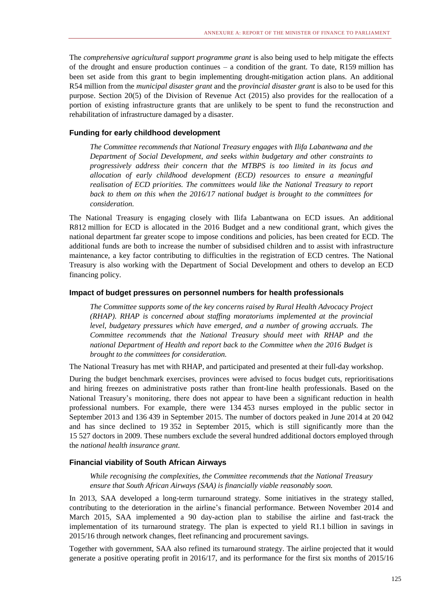The *comprehensive agricultural support programme grant* is also being used to help mitigate the effects of the drought and ensure production continues – a condition of the grant. To date, R159 million has been set aside from this grant to begin implementing drought-mitigation action plans. An additional R54 million from the *municipal disaster grant* and the *provincial disaster grant* is also to be used for this purpose. Section 20(5) of the Division of Revenue Act (2015) also provides for the reallocation of a portion of existing infrastructure grants that are unlikely to be spent to fund the reconstruction and rehabilitation of infrastructure damaged by a disaster.

#### **Funding for early childhood development**

*The Committee recommends that National Treasury engages with Ilifa Labantwana and the Department of Social Development, and seeks within budgetary and other constraints to progressively address their concern that the MTBPS is too limited in its focus and allocation of early childhood development (ECD) resources to ensure a meaningful realisation of ECD priorities. The committees would like the National Treasury to report back to them on this when the 2016/17 national budget is brought to the committees for consideration.*

The National Treasury is engaging closely with Ilifa Labantwana on ECD issues. An additional R812 million for ECD is allocated in the 2016 Budget and a new conditional grant, which gives the national department far greater scope to impose conditions and policies, has been created for ECD. The additional funds are both to increase the number of subsidised children and to assist with infrastructure maintenance, a key factor contributing to difficulties in the registration of ECD centres. The National Treasury is also working with the Department of Social Development and others to develop an ECD financing policy.

#### **Impact of budget pressures on personnel numbers for health professionals**

*The Committee supports some of the key concerns raised by Rural Health Advocacy Project (RHAP). RHAP is concerned about staffing moratoriums implemented at the provincial level, budgetary pressures which have emerged, and a number of growing accruals. The Committee recommends that the National Treasury should meet with RHAP and the national Department of Health and report back to the Committee when the 2016 Budget is brought to the committees for consideration.*

The National Treasury has met with RHAP, and participated and presented at their full-day workshop.

During the budget benchmark exercises, provinces were advised to focus budget cuts, reprioritisations and hiring freezes on administrative posts rather than front-line health professionals. Based on the National Treasury's monitoring, there does not appear to have been a significant reduction in health professional numbers. For example, there were 134 453 nurses employed in the public sector in September 2013 and 136 439 in September 2015. The number of doctors peaked in June 2014 at 20 042 and has since declined to 19 352 in September 2015, which is still significantly more than the 15 527 doctors in 2009. These numbers exclude the several hundred additional doctors employed through the *national health insurance grant*.

#### **Financial viability of South African Airways**

*While recognising the complexities, the Committee recommends that the National Treasury ensure that South African Airways (SAA) is financially viable reasonably soon.*

In 2013, SAA developed a long-term turnaround strategy. Some initiatives in the strategy stalled, contributing to the deterioration in the airline's financial performance. Between November 2014 and March 2015, SAA implemented a 90 day-action plan to stabilise the airline and fast-track the implementation of its turnaround strategy. The plan is expected to yield R1.1 billion in savings in 2015/16 through network changes, fleet refinancing and procurement savings.

Together with government, SAA also refined its turnaround strategy. The airline projected that it would generate a positive operating profit in 2016/17, and its performance for the first six months of 2015/16